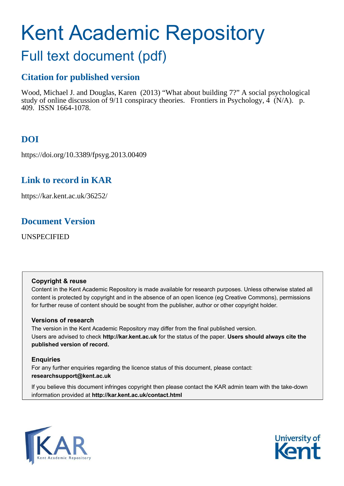# Kent Academic Repository

# Full text document (pdf)

# **Citation for published version**

Wood, Michael J. and Douglas, Karen (2013) "What about building 7?" A social psychological study of online discussion of  $9/11$  conspiracy theories. Frontiers in Psychology,  $\hat{4}$  (N/A). p. 409. ISSN 1664-1078.

# **DOI**

https://doi.org/10.3389/fpsyg.2013.00409

# **Link to record in KAR**

https://kar.kent.ac.uk/36252/

# **Document Version**

UNSPECIFIED

# **Copyright & reuse**

Content in the Kent Academic Repository is made available for research purposes. Unless otherwise stated all content is protected by copyright and in the absence of an open licence (eg Creative Commons), permissions for further reuse of content should be sought from the publisher, author or other copyright holder.

# **Versions of research**

The version in the Kent Academic Repository may differ from the final published version. Users are advised to check **http://kar.kent.ac.uk** for the status of the paper. **Users should always cite the published version of record.**

# **Enquiries**

For any further enquiries regarding the licence status of this document, please contact: **researchsupport@kent.ac.uk**

If you believe this document infringes copyright then please contact the KAR admin team with the take-down information provided at **http://kar.kent.ac.uk/contact.html**



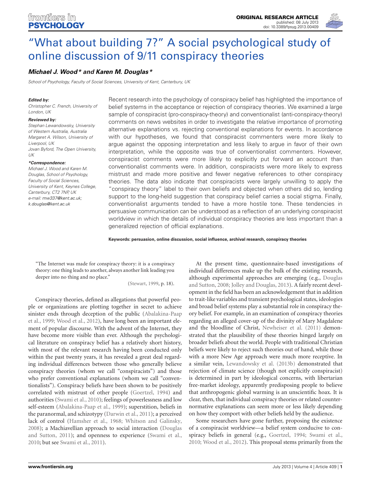

# ["What about building 7?" A social psychological study of](http://www.frontiersin.org/Personality_Science_and_Individual_Differences/10.3389/fpsyg.2013.00409/abstract) online discussion of 9/11 conspiracy theories

#### *[Michael J. Wood\\*](http://www.frontiersin.org/Community/WhosWhoActivity.aspx?sname=MichaelWood&UID=56175) and [Karen M. Douglas\\*](http://www.frontiersin.org/Community/WhosWhoActivity.aspx?sname=KarenDouglas&UID=76490)*

*School of Psychology, Faculty of Social Sciences, University of Kent, Canterbury, UK*

#### *Edited by:*

*Christopher C. French, University of London, UK*

#### *Reviewed by:*

*Stephan Lewandowsky, University of Western Australia, Australia Margaret A. Wilson, University of Liverpool, UK Jovan Byford, The Open University, UK*

#### *\*Correspondence:*

*Michael J. Wood and Karen M. Douglas, School of Psychology, Faculty of Social Sciences, University of Kent, Keynes College, Canterbury, CT2 7NP, UK e-mail: mw337@kent.ac.uk; k.douglas@kent.ac.uk*

Recent research into the psychology of conspiracy belief has highlighted the importance of belief systems in the acceptance or rejection of conspiracy theories. We examined a large sample of conspiracist (pro-conspiracy-theory) and conventionalist (anti-conspiracy-theory) comments on news websites in order to investigate the relative importance of promoting alternative explanations vs. rejecting conventional explanations for events. In accordance with our hypotheses, we found that conspiracist commenters were more likely to argue against the opposing interpretation and less likely to argue in favor of their own interpretation, while the opposite was true of conventionalist commenters. However, conspiracist comments were more likely to explicitly put forward an account than conventionalist comments were. In addition, conspiracists were more likely to express mistrust and made more positive and fewer negative references to other conspiracy theories. The data also indicate that conspiracists were largely unwilling to apply the "conspiracy theory" label to their own beliefs and objected when others did so, lending support to the long-held suggestion that conspiracy belief carries a social stigma. Finally, conventionalist arguments tended to have a more hostile tone. These tendencies in persuasive communication can be understood as a reflection of an underlying conspiracist worldview in which the details of individual conspiracy theories are less important than a generalized rejection of official explanations.

**Keywords: persuasion, online discussion, social influence, archival research, conspiracy theories**

"The Internet was made for conspiracy theory: it is a conspiracy theory: one thing leads to another, always another link leading you deeper into no thing and no place."

[\(Stewart](#page-8-0), [1999](#page-8-0), p. 18).

Conspiracy theories, defined as allegations that powerful people or organizations are plotting together in secret to achieve sinis[ter ends through deception of the public \(](#page-7-0)Abalakina-Paap et al., [1999](#page-7-0); [Wood et al., 2012](#page-8-1)), have long been an important element of popular discourse. With the advent of the Internet, they have become more visible than ever. Although the psychological literature on conspiracy belief has a relatively short history, with most of the relevant research having been conducted only within the past twenty years, it has revealed a great deal regarding individual differences between those who generally believe conspiracy theories (whom we call "conspiracists") and those who prefer conventional explanations (whom we call "conventionalists"). Conspiracy beliefs have been shown to be positively correlated with mistrust of other people [\(Goertzel](#page-8-2), [1994\)](#page-8-2) and authorities [\(Swami et al., 2010](#page-8-3)); feelings of powerlessness and low self-esteem [\(Abalakina-Paap et al., 1999](#page-7-0)); superstition, beliefs in the paranormal, and schizotypy [\(Darwin et al., 2011\)](#page-7-1); a perceived lack of control [\(Hamsher et al.](#page-8-4), [1968;](#page-8-4) [Whitson and Galinsky,](#page-8-5) [2008](#page-8-5)); a M[achiavellian approach to social interaction \(](#page-8-6)Douglas and Sutton, [2011](#page-8-6)); and openness to experience [\(Swami et al.,](#page-8-3) [2010](#page-8-3); but see [Swami et al.](#page-8-7), [2011](#page-8-7)).

At the present time, questionnaire-based investigations of individual differences make up the bulk of the existing research, although e[xperimental approaches are emerging \(e.g.,](#page-8-8) Douglas and Sutton, [2008](#page-8-8); [Jolley and Douglas, 2013](#page-8-9)). A fairly recent development in the field has been an acknowledgement that in addition to trait-like variables and transient psychological states, ideologies and broad belief systems play a substantial role in conspiracy theory belief. For example, in an examination of conspiracy theories regarding an alleged cover-up of the divinity of Mary Magdalene and the bloodline of Christ, [Newheiser et al. \(2011](#page-8-10)) demonstrated that the plausibility of these theories hinged largely on broader beliefs about the world. People with traditional Christian beliefs were likely to reject such theories out of hand, while those with a more New Age approach were much more receptive. In a similar vein, [Lewandowsky et al.](#page-8-11) [\(2013b](#page-8-11)) demonstrated that rejection of climate science (though not explicitly conspiracist) is determined in part by ideological concerns, with libertarian free-market ideology, apparently predisposing people to believe that anthropogenic global warming is an unscientific hoax. It is clear, then, that individual conspiracy theories or related counternormative explanations can seem more or less likely depending on how they comport with other beliefs held by the audience.

Some researchers have gone further, proposing the existence of a conspiracist worldview—a belief system conducive to conspiracy beliefs in general (e.g., [Goertzel](#page-8-2), [1994;](#page-8-2) [Swami et al.,](#page-8-3) [2010](#page-8-3); [Wood et al.](#page-8-1), [2012](#page-8-1)). This proposal stems primarily from the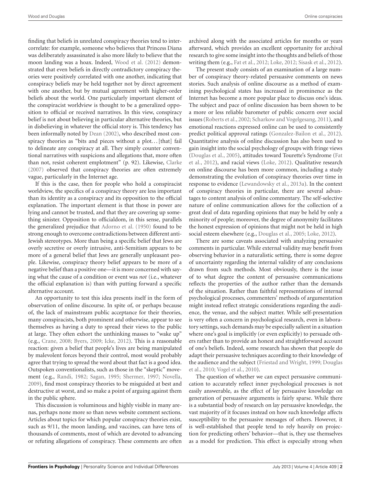finding that beliefs in unrelated conspiracy theories tend to intercorrelate: for example, someone who believes that Princess Diana was deliberately assassinated is also more likely to believe that the moon landing was a hoax. Indeed, [Wood et al. \(2012](#page-8-1)) demonstrated that even beliefs in directly contradictory conspiracy theories were positively correlated with one another, indicating that conspiracy beliefs may be held together not by direct agreement with one another, but by mutual agreement with higher-order beliefs about the world. One particularly important element of the conspiracist worldview is thought to be a generalized opposition to official or received narratives. In this view, conspiracy belief is not about believing in particular alternative theories, but in disbelieving in whatever the official story is. This tendency has been informally noted by [Dean \(2002](#page-8-12)), who described most conspiracy theories as "bits and pieces without a plot... [that] fail to delineate any conspiracy at all. They simply counter conventional narratives with suspicions and allegations that, more often than not, resist coherent emplotment" (p. 92). Likewise, [Clarke](#page-7-2) [\(2007\)](#page-7-2) observed that conspiracy theories are often extremely vague, particularly in the Internet age.

If this is the case, then for people who hold a conspiracist worldview, the specifics of a conspiracy theory are less important than its identity as a conspiracy and its opposition to the official explanation. The important element is that those in power are lying and cannot be trusted, and that they are covering up something sinister. Opposition to officialdom, in this sense, parallels the generalized prejudice that [Adorno et al.](#page-7-3) [\(1950](#page-7-3)) found to be strong enough to overcome contradictions between different anti-Jewish stereotypes. More than being a specific belief that Jews are overly secretive or overly intrusive, anti-Semitism appears to be more of a general belief that Jews are generally unpleasant people. Likewise, conspiracy theory belief appears to be more of a negative belief than a positive one—it is more concerned with saying what the cause of a condition or event was *not* (i.e., whatever the official explanation is) than with putting forward a specific alternative account.

An opportunity to test this idea presents itself in the form of observation of online discourse. In spite of, or perhaps because of, the lack of mainstream public acceptance for their theories, many conspiracists, both prominent and otherwise, appear to see themselves as having a duty to spread their views to the public at large. They often exhort the unthinking masses to "wake up" (e.g., [Crane](#page-7-4), [2008](#page-7-4); [Byers](#page-7-5), [2009;](#page-7-5) [Icke](#page-8-13), [2012\)](#page-8-13). This is a reasonable reaction: given a belief that people's lives are being manipulated by malevolent forces beyond their control, most would probably agree that trying to spread the word about that fact is a good idea. Outspoken conventionalists, such as those in the "skeptic" movement (e.g., [Randi](#page-8-14), [1982;](#page-8-14) [Sagan](#page-8-15), [1995;](#page-8-15) [Shermer](#page-8-16), [1997](#page-8-16); [Novella,](#page-8-17) [2009](#page-8-17)), find most conspiracy theories to be misguided at best and destructive at worst, and so make a point of arguing against them in the public sphere.

This discussion is voluminous and highly visible in many arenas, perhaps none more so than news website comment sections. Articles about topics for which popular conspiracy theories exist, such as 9/11, the moon landing, and vaccines, can have tens of thousands of comments, most of which are devoted to advancing or refuting allegations of conspiracy. These comments are often

archived along with the associated articles for months or years afterward, which provides an excellent opportunity for archival research to give some insight into the thoughts and beliefs of those writing them (e.g., [Fat et al.](#page-8-18), [2012;](#page-8-18) [Loke](#page-8-19), [2012;](#page-8-19) [Sisask et al.](#page-8-20), [2012\)](#page-8-20).

The present study consists of an examination of a large number of conspiracy theory-related persuasive comments on news stories. Such analysis of online discourse as a method of examining psychological states has increased in prominence as the Internet has become a more popular place to discuss one's ideas. The subject and pace of online discussion has been shown to be a more or less reliable barometer of public concern over social issues [\(Roberts et al., 2002;](#page-8-21) [Scharkow and Vogelgesang, 2011\)](#page-8-22), and emotional reactions expressed online can be used to consistently predict political approval ratings [\(Gonzalez-Bailon et al., 2012\)](#page-8-23). Quantitative analysis of online discussion has also been used to gain insight into the social psychology of groups with fringe views [\(Douglas et al., 2005](#page-8-24)[\), attitudes toward Tourette's Syndrome \(](#page-8-18)Fat et al., [2012](#page-8-18)), and racial views [\(Loke](#page-8-19), [2012\)](#page-8-19). Qualitative research on online discourse has been more common, including a study demonstrating the evolution of conspiracy theories over time in response to evidence [\(Lewandowsky et al., 2013a](#page-8-25)). In the context of conspiracy theories in particular, there are several advantages to content analysis of online commentary. The self-selective nature of online communication allows for the collection of a great deal of data regarding opinions that may be held by only a minority of people; moreover, the degree of anonymity facilitates the honest expression of opinions that might not be held in high social esteem elsewhere (e.g., [Douglas et al.](#page-8-24), [2005;](#page-8-24) [Loke, 2012](#page-8-19)).

There are some caveats associated with analyzing persuasive comments in particular. While external validity may benefit from observing behavior in a naturalistic setting, there is some degree of uncertainty regarding the internal validity of any conclusions drawn from such methods. Most obviously, there is the issue of to what degree the content of persuasive communications reflects the properties of the author rather than the demands of the situation. Rather than faithful representations of internal psychological processes, commenters' methods of argumentation might instead reflect strategic considerations regarding the audience, the venue, and the subject matter. While self-presentation is very often a concern in psychological research, even in laboratory settings, such demands may be especially salient in a situation where one's goal is implicitly (or even explicitly) to persuade others rather than to provide an honest and straightforward account of one's beliefs. Indeed, some research has shown that people do adapt their persuasive techniques according to their knowledge of the [audience and the subject](#page-8-27) [\(Friestad and Wright, 1999](#page-8-26)[;](#page-8-27) Douglas et al., [2010;](#page-8-27) [Vogel et al.](#page-8-28), [2010\)](#page-8-28).

The question of whether we can expect persuasive communication to accurately reflect inner psychological processes is not easily answerable, as the effect of lay persuasive knowledge on generation of persuasive arguments is fairly sparse. While there is a substantial body of research on lay persuasive knowledge, the vast majority of it focuses instead on how such knowledge affects susceptibility to the persuasive messages of others. However, it is well-established that people tend to rely heavily on projection for predicting others' behavior—that is, they use themselves as a model for prediction. This effect is especially strong when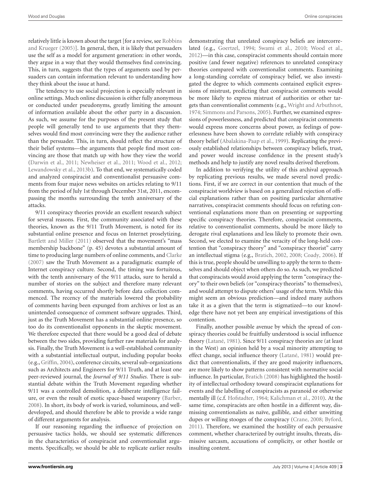relatively litt[le is known about the target \[for a review, see](#page-8-29) Robbins and Krueger [\(2005\)](#page-8-29)]. In general, then, it is likely that persuaders use the self as a model for argument generation: in other words, they argue in a way that they would themselves find convincing. This, in turn, suggests that the types of arguments used by persuaders can contain information relevant to understanding how they think about the issue at hand.

The tendency to use social projection is especially relevant in online settings. Much online discussion is either fully anonymous or conducted under pseudonyms, greatly limiting the amount of information available about the other party in a discussion. As such, we assume for the purposes of the present study that people will generally tend to use arguments that they themselves would find most convincing were they the audience rather than the persuader. This, in turn, should reflect the structure of their belief systems—the arguments that people find most convincing are those that match up with how they view the world [\(Darwin et al.](#page-7-1), [2011;](#page-7-1) [Newheiser et al.](#page-8-10), [2011;](#page-8-10) [Wood et al., 2012](#page-8-1); [Lewandowsky et al., 2013b](#page-8-11)). To that end, we systematically coded and analyzed conspiracist and conventionalist persuasive comments from four major news websites on articles relating to 9/11 from the period of July 1st through December 31st, 2011, encompassing the months surrounding the tenth anniversary of the attacks.

9/11 conspiracy theories provide an excellent research subject for several reasons. First, the community associated with these theories, known as the 9/11 Truth Movement, is noted for its substantial online presence and focus on Internet proselytizing. [Bartlett and Miller](#page-7-6) [\(2011\)](#page-7-6) observed that the movement's "mass membership backbone" (p. 45) devotes a substantial amount of time to producing large numbers of online comments, and [Clarke](#page-7-2) [\(2007\)](#page-7-2) saw the Truth Movement as a paradigmatic example of Internet conspiracy culture. Second, the timing was fortuitous, with the tenth anniversary of the 9/11 attacks, sure to herald a number of stories on the subject and therefore many relevant comments, having occurred shortly before data collection commenced. The recency of the materials lowered the probability of comments having been expunged from archives or lost as an unintended consequence of comment software upgrades. Third, just as the Truth Movement has a substantial online presence, so too do its conventionalist opponents in the skeptic movement. We therefore expected that there would be a good deal of debate between the two sides, providing further raw materials for analysis. Finally, the Truth Movement is a well-established community with a substantial intellectual output, including popular books (e.g., [Griffin, 2004\)](#page-8-30), conference circuits, several sub-organizations such as Architects and Engineers for 9/11 Truth, and at least one peer-reviewed journal, the *Journal of 9/11 Studies.* There is substantial debate within the Truth Movement regarding whether 9/11 was a controlled demolition, a deliberate intelligence failure, or even the result of exotic space-based weaponry [\(Barber](#page-7-7), 2008). In short, its body of work is varied, voluminous, and welldeveloped, and should therefore be able to provide a wide range of different arguments for analysis.

If our reasoning regarding the influence of projection on persuasive tactics holds, we should see systematic differences in the characteristics of conspiracist and conventionalist arguments. Specifically, we should be able to replicate earlier results

demonstrating that unrelated conspiracy beliefs are intercorrelated (e.g., [Goertzel](#page-8-2), [1994](#page-8-2); [Swami et al.](#page-8-3), [2010;](#page-8-3) [Wood et al.,](#page-8-1) [2012](#page-8-1))—in this case, conspiracist comments should contain more positive (and fewer negative) references to unrelated conspiracy theories compared with conventionalist comments. Examining a long-standing correlate of conspiracy belief, we also investigated the degree to which comments contained explicit expressions of mistrust, predicting that conspiracist comments would be more likely to express mistrust of authorities or other targets than conventionalist comments (e.g., [Wright and Arbuthnot](#page-8-31), [1974](#page-8-31); [Simmons and Parsons, 2005](#page-8-32)). Further, we examined expressions of powerlessness, and predicted that conspiracist comments would express more concerns about power, as feelings of powerlessness have been shown to correlate reliably with conspiracy theory belief [\(Abalakina-Paap et al., 1999](#page-7-0)). Replicating the previously established relationships between conspiracy beliefs, trust, and power would increase confidence in the present study's methods and help to justify any novel results derived therefrom.

In addition to verifying the utility of this archival approach by replicating previous results, we made several novel predictions. First, if we are correct in our contention that much of the conspiracist worldview is based on a generalized rejection of official explanations rather than on positing particular alternative narratives, conspiracist comments should focus on refuting conventional explanations more than on presenting or supporting specific conspiracy theories. Therefore, conspiracist comments, relative to conventionalist comments, should be more likely to derogate rival explanations and less likely to promote their own. Second, we elected to examine the veracity of the long-held contention that "conspiracy theory" and "conspiracy theorist" carry an intellectual stigma (e.g., [Bratich, 2002,](#page-7-8) [2008;](#page-7-9) [Coady](#page-7-10), [2006](#page-7-10)). If this is true, people should be unwilling to apply the term to themselves and should object when others do so. As such, we predicted that conspiracists would avoid applying the term "conspiracy theory" to their own beliefs (or "conspiracy theorists" to themselves), and would attempt to dispute others' usage of the term. While this might seem an obvious prediction—and indeed many authors take it as a given that the term is stigmatized—to our knowledge there have not yet been any empirical investigations of this contention.

Finally, another possible avenue by which the spread of conspiracy theories could be fruitfully understood is social influence theory [\(Latané](#page-8-33), [1981\)](#page-8-33). Since 9/11 conspiracy theories are (at least in the West) an opinion held by a vocal minority attempting to effect change, social influence theory [\(Latané](#page-8-33), [1981\)](#page-8-33) would predict that conventionalists, if they are good majority influencers, are more likely to show patterns consistent with normative social influence. In particular, [Bratich](#page-7-9) [\(2008](#page-7-9)) has highlighted the hostility of intellectual orthodoxy toward conspiracist explanations for events and the labelling of conspiracists as paranoid or otherwise mentally ill (c.f. [Hofstadter, 1964;](#page-8-34) [Kalichman et al., 2010](#page-8-35)). At the same time, conspiracists are often hostile in a different way, dismissing conventionalists as naïve, gullible, and either unwitting dupes or willing stooges of the conspiracy [\(Crane](#page-7-4), [2008](#page-7-4); [Byford](#page-7-11), [2011](#page-7-11)). Therefore, we examined the hostility of each persuasive comment, whether characterized by outright insults, threats, dismissive sarcasm, accusations of complicity, or other hostile or insulting content.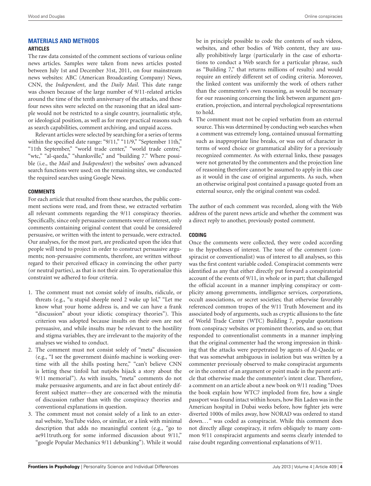#### **MATERIALS AND METHODS**

#### **ARTICLES**

The raw data consisted of the comment sections of various online news articles. Samples were taken from news articles posted between July 1st and December 31st, 2011, on four mainstream news websites: ABC (American Broadcasting Company) News, CNN, the *Independent*, and the *Daily Mail*. This date range was chosen because of the large number of 9/11-related articles around the time of the tenth anniversary of the attacks, and these four news sites were selected on the reasoning that an ideal sample would not be restricted to a single country, journalistic style, or ideological position, as well as for more practical reasons such as search capabilities, comment archiving, and unpaid access.

Relevant articles were selected by searching for a series of terms within the specified date range: "9/11," "11/9," "September 11th," "11th September," "world trade center," "world trade centre," "wtc," "al-qaeda," "shanksville," and "building 7." Where possible (i.e., the *Mail* and *Independent*) the websites' own advanced search functions were used; on the remaining sites, we conducted the required searches using Google News.

#### **COMMENTS**

For each article that resulted from these searches, the public comment sections were read, and from these, we extracted verbatim all relevant comments regarding the 9/11 conspiracy theories. Specifically, since only persuasive comments were of interest, only comments containing original content that could be considered persuasive, or written with the intent to persuade, were extracted. Our analyses, for the most part, are predicated upon the idea that people will tend to project in order to construct persuasive arguments; non-persuasive comments, therefore, are written without regard to their perceived efficacy in convincing the other party (or neutral parties), as that is not their aim. To operationalize this constraint we adhered to four criteria.

- 1. The comment must not consist solely of insults, ridicule, or threats (e.g., "u stupid sheeple need 2 wake up lol," "Let me know what your home address is, and we can have a frank "discussion" about your idiotic conspiracy theories"). This criterion was adopted because insults on their own are not persuasive, and while insults may be relevant to the hostility and stigma variables, they are irrelevant to the majority of the analyses we wished to conduct.
- 2. The comment must not consist solely of "meta" discussion (e.g., "I see the government disinfo machine is working overtime with all the shills posting here," "can't believe CNN is letting these tinfoil hat nutjobs hijack a story about the 9/11 memorial"). As with insults, "meta" comments do not make persuasive arguments, and are in fact about entirely different subject matter—they are concerned with the minutia of discussion rather than with the conspiracy theories and conventional explanations in question.
- 3. The comment must not consist solely of a link to an external website, YouTube video, or similar, or a link with minimal description that adds no meaningful content (e.g., "go to ae911truth.org for some informed discussion about 9/11," "google Popular Mechanics 9/11 debunking"). While it would

be in principle possible to code the contents of such videos, websites, and other bodies of Web content, they are usually prohibitively large (particularly in the case of exhortations to conduct a Web search for a particular phrase, such as "Building 7," that returns millions of results) and would require an entirely different set of coding criteria. Moreover, the linked content was uniformly the work of others rather than the commenter's own reasoning, as would be necessary for our reasoning concerning the link between argument generation, projection, and internal psychological representations to hold.

4. The comment must not be copied verbatim from an external source. This was determined by conducting web searches when a comment was extremely long, contained unusual formatting such as inappropriate line breaks, or was out of character in terms of word choice or grammatical ability for a previously recognized commenter. As with external links, these passages were not generated by the commenters and the projection line of reasoning therefore cannot be assumed to apply in this case as it would in the case of original arguments. As such, when an otherwise original post contained a passage quoted from an external source, only the original content was coded.

The author of each comment was recorded, along with the Web address of the parent news article and whether the comment was a direct reply to another, previously posted comment.

#### **CODING**

Once the comments were collected, they were coded according to the hypotheses of interest. The tone of the comment (conspiracist or conventionalist) was of interest to all analyses, so this was the first content variable coded. Conspiracist comments were identified as any that either directly put forward a conspiratorial account of the events of 9/11, in whole or in part; that challenged the official account in a manner implying conspiracy or complicity among governments, intelligence services, corporations, occult associations, or secret societies; that otherwise favorably referenced common tropes of the 9/11 Truth Movement and its associated body of arguments, such as cryptic allusions to the fate of World Trade Center (WTC) Building 7, popular quotations from conspiracy websites or prominent theorists, and so on; that responded to conventionalist comments in a manner implying that the original commenter had the wrong impression in thinking that the attacks were perpetrated by agents of Al-Qaeda; or that was somewhat ambiguous in isolation but was written by a commenter previously observed to make conspiracist arguments or in the context of an argument or point made in the parent article that otherwise made the commenter's intent clear. Therefore, a comment on an article about a new book on 9/11 reading "Does the book explain how WTC7 imploded from fire, how a single passport was found intact within hours, how Bin Laden was in the American hospital in Dubai weeks before, how fighter jets were diverted 1000s of miles away, how NORAD was ordered to stand down..." was coded as conspiracist. While this comment does not directly allege conspiracy, it refers obliquely to many common 9/11 conspiracist arguments and seems clearly intended to raise doubt regarding conventional explanations of 9/11.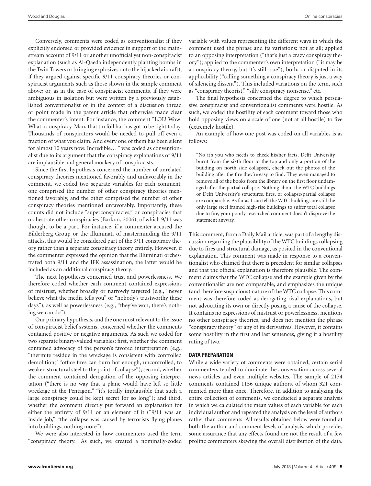Conversely, comments were coded as conventionalist if they explicitly endorsed or provided evidence in support of the mainstream account of 9/11 or another unofficial yet non-conspiracist explanation (such as Al-Qaeda independently planting bombs in the Twin Towers or bringing explosives onto the hijacked aircraft); if they argued against specific 9/11 conspiracy theories or conspiracist arguments such as those shown in the sample comment above; or, as in the case of conspiracist comments, if they were ambiguous in isolation but were written by a previously established conventionalist or in the context of a discussion thread or point made in the parent article that otherwise made clear the commenter's intent. For instance, the comment "LOL! Wow! What a conspiracy. Man, that tin foil hat has got to be tight today. Thousands of conspirators would be needed to pull off even a fraction of what you claim. And every one of them has been silent for almost 10 years now. Incredible..." was coded as conventionalist due to its argument that the conspiracy explanations of 9/11 are implausible and general mockery of conspiracists.

Since the first hypothesis concerned the number of unrelated conspiracy theories mentioned favorably and unfavorably in the comment, we coded two separate variables for each comment: one comprised the number of other conspiracy theories mentioned favorably, and the other comprised the number of other conspiracy theories mentioned unfavorably. Importantly, these counts did not include "superconspiracies," or conspiracies that orchestrate other conspiracies [\(Barkun, 2006](#page-7-12)), of which 9/11 was thought to be a part. For instance, if a commenter accused the Bilderberg Group or the Illuminati of masterminding the 9/11 attacks, this would be considered part of the 9/11 conspiracy theory rather than a separate conspiracy theory entirely. However, if the commenter expressed the opinion that the Illuminati orchestrated both 9/11 and the JFK assassination, the latter would be included as an additional conspiracy theory.

The next hypotheses concerned trust and powerlessness. We therefore coded whether each comment contained expressions of mistrust, whether broadly or narrowly targeted (e.g., "never believe what the media tells you" or "nobody's trustworthy these days"), as well as powerlessness (e.g., "they've won, there's nothing we can do").

<span id="page-5-0"></span>Our primary hypothesis, and the one most relevant to the issue of conspiracist belief systems, concerned whether the comments contained positive or negative arguments. As such we coded for two separate binary-valued variables: first, whether the comment contained advocacy of the person's favored interpretation (e.g., "thermite residue in the wreckage is consistent with controlled demolition," "office fires can burn hot enough, uncontrolled, to weaken structural steel to the point of collapse"); second, whether the comment contained derogation of the opposing interpretation ("there is no way that a plane would have left so little wreckage at the Pentagon," "it's totally implausible that such a large conspiracy could be kept secret for so long"); and third, whether the comment directly put forward an explanation for either the entirety of 9/11 or an element of it ("9/11 was an inside job," "the collapse was caused by terrorists flying planes into buildings, nothing more").

We were also interested in how commenters used the term "conspiracy theory." As such, we created a nominally-coded

variable with values representing the different ways in which the comment used the phrase and its variations: not at all; applied to an opposing interpretation ("that's just a crazy conspiracy theory"); applied to the commenter's own interpretation ("it may be a conspiracy theory, but it's still true"); both; or disputed in its applicability ("calling something a conspiracy theory is just a way of silencing dissent"). This included variations on the term, such as "conspiracy theorist," "silly conspiracy nonsense," etc.

The final hypothesis concerned the degree to which persuasive conspiracist and conventionalist comments were hostile. As such, we coded the hostility of each comment toward those who hold opposing views on a scale of one (not at all hostile) to five (extremely hostile).

An example of how one post was coded on all variables is as follows:

"No it's you who needs to check his/her facts, Delft University burnt from the sixth floor to the top and only a portion of the building on north side collapsed, check out the photos of the building after the fire they're easy to find. They even managed to remove all of the books from the library on the first floor undamaged after the partial collapse. Nothing about the WTC buildings or Delft University's structures, fires, or collapse/partial collapse are comparable. As far as I can tell the WTC buildings are still the only large steel framed high-rise buildings to suffer total collapse due to fire, your poorly researched comment doesn't disprove the statement anyway."

This comment, from a Daily Mail article, was part of a lengthy discussion regarding the plausibility of the WTC buildings collapsing due to fires and structural damage, as posited in the conventional explanation. This comment was made in response to a conventionalist who claimed that there is precedent for similar collapses and that the official explanation is therefore plausible. The comment claims that the WTC collapse and the example given by the conventionalist are not comparable, and emphasizes the unique (and therefore suspicious) nature of the WTC collapse. This comment was therefore coded as derogating rival explanations, but not advocating its own or directly posing a cause of the collapse. It contains no expressions of mistrust or powerlessness, mentions no other conspiracy theories, and does not mention the phrase "conspiracy theory" or any of its derivatives. However, it contains some hostility in the first and last sentences, giving it a hostility rating of two.

#### **DATA PREPARATION**

While a wide variety of comments were obtained, certain serial commenters tended to dominate the conversation across several news articles and even multiple websites. The sample of 2174 comments contained 1156 unique authors, of whom 321 commented more than once. Therefore, in addition to analyzing the entire collection of comments, we conducted a separate analysis in which we calculated the mean values of each variable for each individual author and repeated the analysis on the level of authors rather than comments. All results obtained below were found at both the author and comment levels of analysis, which provides some assurance that any effects found are not the result of a few prolific commenters skewing the overall distribution of the data.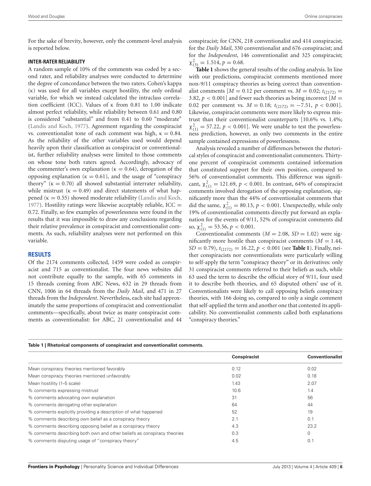For the sake of brevity, however, only the comment-level analysis is reported below.

#### **INTER-RATER RELIABILITY**

A random sample of 10% of the comments was coded by a second rater, and reliability analyses were conducted to determine the degree of concordance between the two raters. Cohen's kappa (κ) was used for all variables except hostility, the only ordinal variable, for which we instead calculated the intraclass correlation coefficient (ICC). Values of κ from 0.81 to 1.00 indicate almost perfect reliability, while reliability between 0.61 and 0.80 is considered "substantial" and from 0.41 to 0.60 "moderate" [\(Landis and Koch](#page-8-36), [1977\)](#page-8-36). Agreement regarding the conspiracist vs. conventionalist tone of each comment was high,  $κ = 0.84$ . As the reliability of the other variables used would depend heavily upon their classification as conspiracist or conventionalist, further reliability analyses were limited to those comments on whose tone both raters agreed. Accordingly, advocacy of the commenter's own explanation ( $\kappa = 0.64$ ), derogation of the opposing explanation ( $\kappa = 0.61$ ), and the usage of "conspiracy" theory" ( $\kappa = 0.70$ ) all showed substantial interrater reliability, while mistrust ( $\kappa = 0.49$ ) and direct statements of what happened ( $\kappa = 0.55$ ) showed moderate reliability [\(Landis and Koch](#page-8-36), [1977](#page-8-36)). Hostility ratings were likewise acceptably reliable,  $ICC =$ 0.72. Finally, so few examples of powerlessness were found in the results that it was impossible to draw any conclusions regarding their relative prevalence in conspiracist and conventionalist comments. As such, reliability analyses were not performed on this variable.

#### **RESULTS**

Of the 2174 comments collected, 1459 were coded as conspiracist and 715 as conventionalist. The four news websites did not contribute equally to the sample, with 65 comments in 15 threads coming from ABC News, 632 in 29 threads from CNN, 1006 in 64 threads from the *Daily Mail*, and 471 in 27 threads from the *Independent*. Nevertheless, each site had approximately the same proportions of conspiracist and conventionalist comments—specifically, about twice as many conspiracist comments as conventionalist: for ABC, 21 conventionalist and 44

conspiracist; for CNN, 218 conventionalist and 414 conspiracist; for the *Daily Mail*, 330 conventionalist and 676 conspiracist; and for the *Independent*, 146 conventionalist and 325 conspiracist;  $\chi^2_{(3)} = 1.514, p = 0.68.$ 

**[Table 1](#page-5-0)** shows the general results of the coding analysis. In line with our predictions, conspiracist comments mentioned more non-9/11 conspiracy theories as being correct than conventionalist comments  $[M = 0.12$  per comment vs.  $M = 0.02$ ;  $t_{(2172)} =$ 3.82,  $p < 0.001$  and fewer such theories as being incorrect  $M =$ 0.02 per comment vs.  $M = 0.18$ ;  $t_{(2172)} = -7.51$ ,  $p < 0.001$ . Likewise, conspiracist comments were more likely to express mistrust than their conventionalist counterparts [10.6% vs. 1.4%;  $\chi^2_{(1)} = 57.22$ ,  $p < 0.001$ ]. We were unable to test the powerlessness prediction, however, as only two comments in the entire sample contained expressions of powerlessness.

Analysis revealed a number of differences between the rhetorical styles of conspiracist and conventionalist commenters. Thirtyone percent of conspiracist comments contained information that constituted support for their own position, compared to 56% of conventionalist comments. This difference was significant,  $\chi^{2}_{(1)} = 121.69, p < 0.001$ . In contrast, 64% of conspiracist comments involved derogation of the opposing explanation, significantly more than the 44% of conventionalist comments that did the same,  $\chi^2_{(1)} = 80.13$ ,  $p < 0.001$ . Unexpectedly, while only 19% of conventionalist comments directly put forward an explanation for the events of 9/11, 52% of conspiracist comments did so,  $\chi^2_{(1)} = 53.56, p < 0.001$ .

Conventionalist comments  $(M = 2.08, SD = 1.02)$  were significantly more hostile than conspiracist comments  $(M = 1.44,$  $SD = 0.79$ ),  $t_{(2172)} = 16.22$ ,  $p < 0.001$  (see **[Table 1](#page-5-0)**). Finally, neither conspiracists nor conventionalists were particularly willing to self-apply the term "conspiracy theory" or its derivatives: only 31 conspiracist comments referred to their beliefs as such, while 63 used the term to describe the official story of 9/11, four used it to describe both theories, and 65 disputed others' use of it. Conventionalists were likely to call opposing beliefs conspiracy theories, with 166 doing so, compared to only a single comment that self-applied the term and another one that contested its applicability. No conventionalist comments called both explanations "conspiracy theories."

|                                                                         | <b>Conspiracist</b> | <b>Conventionalist</b> |
|-------------------------------------------------------------------------|---------------------|------------------------|
| Mean conspiracy theories mentioned favorably                            | 0.12                | 0.02                   |
| Mean conspiracy theories mentioned unfavorably                          | 0.02                | 0.18                   |
| Mean hostility (1-5 scale)                                              | 1.43                | 2.07                   |
| % comments expressing mistrust                                          | 10.6                | 1.4                    |
| % comments advocating own explanation                                   | 31                  | 56                     |
| % comments derogating other explanation                                 | 64                  | 44                     |
| % comments explicitly providing a description of what happened          | 52                  | 19                     |
| % comments describing own belief as a conspiracy theory                 | 2.1                 | 0.1                    |
| % comments describing opposing belief as a conspiracy theory            | 4.3                 | 23.2                   |
| % comments describing both own and other beliefs as conspiracy theories | 0.3                 | 0                      |
| % comments disputing usage of "conspiracy theory"                       | 4.5                 | 0.1                    |

#### **Table 1 | Rhetorical components of conspiracist and conventionalist comments.**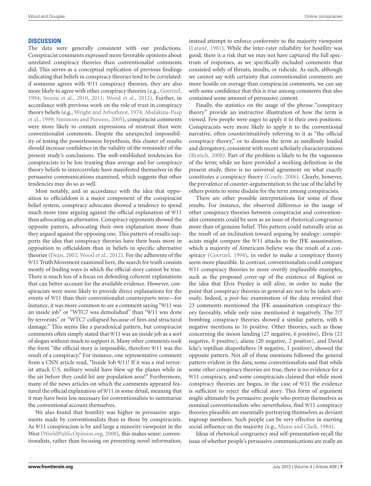#### **DISCUSSION**

The data were generally consistent with our predictions. Conspiracist comments expressed more favorable opinions about unrelated conspiracy theories than conventionalist comments did. This serves as a conceptual replication of previous findings indicating that beliefs in conspiracy theories tend to be correlated: if someone agrees with 9/11 conspiracy theories, they are also more likely to agree with other conspiracy theories (e.g., [Goertzel](#page-8-2), [1994](#page-8-2); [Swami et al.](#page-8-3), [2010](#page-8-3), [2011](#page-8-7); [Wood et al., 2012\)](#page-8-1). Further, in accordance with previous work on the role of trust in conspiracy theory beliefs (e.g., [Wright and Arbuthnot](#page-8-31)[,](#page-7-0) [1974;](#page-8-31) Abalakina-Paap et al., [1999;](#page-7-0) [Simmons and Parsons](#page-8-32), [2005\)](#page-8-32), conspiracist comments were more likely to contain expressions of mistrust than were conventionalist comments. Despite the unexpected impossibility of testing the powerlessness hypothesis, this cluster of results should increase confidence in the validity of the remainder of the present study's conclusions. The well-established tendencies for conspiracists to be less trusting than average and for conspiracy theory beliefs to intercorrelate have manifested themselves in the persuasive communications examined, which suggests that other tendencies may do so as well.

Most notably, and in accordance with the idea that opposition to officialdom is a major component of the conspiracist belief system, conspiracy advocates showed a tendency to spend much more time arguing against the official explanation of 9/11 than advocating an alternative. Conspiracy opponents showed the opposite pattern, advocating their own explanation more than they argued against the opposing one. This pattern of results supports the idea that conspiracy theories have their basis more in opposition to officialdom than in beliefs in specific alternative theories [\(Dean](#page-8-12), [2002;](#page-8-12) [Wood et al.](#page-8-1), [2012\)](#page-8-1). For the adherents of the 9/11 Truth Movement examined here, the search for truth consists mostly of finding ways in which the official story cannot be true. There is much less of a focus on defending coherent explanations that can better account for the available evidence. However, conspiracists were more likely to provide direct explanations for the events of 9/11 than their conventionalist counterparts were—for instance, it was more common to see a comment saying "9/11 was an inside job" or "WTC7 was demolished" than "9/11 was done by terrorists" or "WTC7 collapsed because of fires and structural damage." This seems like a paradoxical pattern, but conspiracist comments often simply stated that 9/11 was an inside job as a sort of slogan without much to support it. Many other comments took the form "the official story is impossible, therefore 9/11 was the result of a conspiracy." For instance, one representative comment from a CNN article read, "Inside Job 9/11! If it was a real terrorist attack U.S. military would have blew up the planes while in the air before they could hit any population area!" Furthermore, many of the news articles on which the comments appeared featured the official explanation of 9/11 in some detail, meaning that it may have been less necessary for conventionalists to summarize the conventional account themselves.

<span id="page-7-12"></span><span id="page-7-8"></span><span id="page-7-7"></span><span id="page-7-6"></span><span id="page-7-3"></span><span id="page-7-0"></span>We also found that hostility was higher in persuasive arguments made by conventionalists than in those by conspiracists. As 9/11 conspiracism is by and large a minority viewpoint in the West [\(WorldPublicOpinion.org, 2008](#page-8-37)), this makes sense: conventionalists, rather than focusing on presenting novel information, instead attempt to enforce conformity to the majority viewpoint [\(Latané](#page-8-33), [1981\)](#page-8-33). While the inter-rater reliability for hostility was good, there is a risk that we may not have captured the full spectrum of responses, as we specifically excluded comments that consisted solely of threats, insults, or ridicule. As such, although we cannot say with certainty that conventionalist comments are more hostile on average than conspiracist comments, we can say with some confidence that this is true among comments that also contained some amount of persuasive content.

Finally, the statistics on the usage of the phrase "conspiracy theory" provide an instructive illustration of how the term is viewed. Few people were eager to apply it to their own positions. Conspiracists were more likely to apply it to the conventional narrative, often counterintuitively referring to it as "the official conspiracy theory," or to dismiss the term as needlessly loaded and derogatory, consistent with recent scholarly characterizations [\(Bratich](#page-7-9), [2008](#page-7-9)). Part of the problem is likely to be the vagueness of the term; while we have provided a working definition in the present study, there is no universal agreement on what exactly constitutes a conspiracy theory [\(Coady, 2006](#page-7-10)). Clearly, however, the prevalence of counter-argumentation to the use of the label by others points to some disdain for the term among conspiracists.

There are other possible interpretations for some of these results. For instance, the observed difference in the usage of other conspiracy theories between conspiracist and conventionalist comments could be seen as an issue of rhetorical congruence more than of genuine belief. This pattern could naturally arise as the result of an inclination toward arguing by analogy: conspiracists might compare the 9/11 attacks to the JFK assassination, which a majority of Americans believe was the result of a conspiracy [\(Goertzel](#page-8-2), [1994](#page-8-2)), in order to make a conspiracy theory seem more plausible. In contrast, conventionalists could compare 9/11 conspiracy theories to more overtly implausible examples, such as the proposed cover-up of the existence of Bigfoot or the idea that Elvis Presley is still alive, in order to make the point that conspiracy theories in general are not to be taken seriously. Indeed, a *post-hoc* examination of the data revealed that 23 comments mentioned the JFK assassination conspiracy theory favorably, while only nine mentioned it negatively. The 7/7 bombing conspiracy theories showed a similar pattern, with 6 negative mentions to 16 positive. Other theories, such as those concerning the moon landing (27 negative, 6 positive), Elvis (21 negative, 0 positive), aliens (20 negative, 2 positive), and David Icke's reptilian shapeshifters (8 negative, 1 positive), showed the opposite pattern. Not all of these mentions followed the general pattern evident in the data; some conventionalists said that while some other conspiracy theories are true, there is no evidence for a 9/11 conspiracy, and some conspiracists claimed that while most conspiracy theories are bogus, in the case of 9/11 the evidence is sufficient to reject the official story. This form of argument might ultimately be persuasive: people who portray themselves as nominal conventionalists who nevertheless, find 9/11 conspiracy theories plausible are essentially portraying themselves as deviant ingroup members. Such people can be very effective in exerting social influence on the majority (e.g., [Maass and Clark](#page-8-38), [1984\)](#page-8-38).

<span id="page-7-11"></span><span id="page-7-10"></span><span id="page-7-9"></span><span id="page-7-5"></span><span id="page-7-4"></span><span id="page-7-2"></span><span id="page-7-1"></span>Ideas of rhetorical congruency and self-presentation recall the issue of whether people's persuasive communications are really an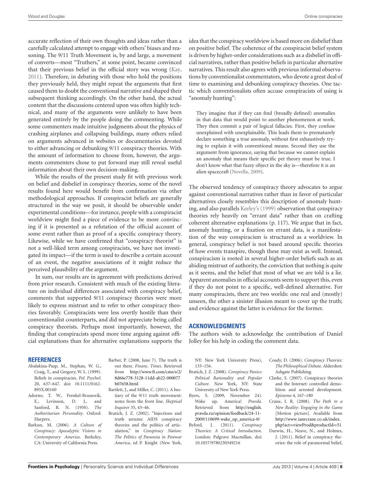<span id="page-8-34"></span><span id="page-8-24"></span><span id="page-8-13"></span><span id="page-8-12"></span><span id="page-8-9"></span>accurate reflection of their own thoughts and ideas rather than a carefully calculated attempt to engage with others' biases and reasoning. The 9/11 Truth Movement is, by and large, a movement of converts—most "Truthers," at some point, became convinced that their previous belief in the official story was wrong [\(Kay,](#page-8-39) [2011](#page-8-39)). Therefore, in debating with those who hold the positions they previously held, they might repeat the arguments that first caused them to doubt the conventional narrative and shaped their subsequent thinking accordingly. On the other hand, the actual content that the discussions centered upon was often highly technical, and many of the arguments were unlikely to have been generated entirely by the people doing the commenting. While some commenters made intuitive judgments about the physics of crashing airplanes and collapsing buildings, many others relied on arguments advanced in websites or documentaries devoted to either advancing or debunking 9/11 conspiracy theories. With the amount of information to choose from, however, the arguments commenters chose to put forward may still reveal useful information about their own decision-making.

<span id="page-8-40"></span><span id="page-8-39"></span><span id="page-8-35"></span><span id="page-8-27"></span><span id="page-8-8"></span><span id="page-8-6"></span>While the results of the present study fit with previous work on belief and disbelief in conspiracy theories, some of the novel results found here would benefit from confirmation via other methodological approaches. If conspiracist beliefs are generally structured in the way we posit, it should be observable under experimental conditions—for instance, people with a conspiracist worldview might find a piece of evidence to be more convincing if it is presented as a refutation of the official account of some event rather than as proof of a specific conspiracy theory. Likewise, while we have confirmed that "conspiracy theorist" is not a well-liked term among conspiracists, we have not investigated its impact—if the term is used to describe a certain account of an event, the negative associations of it might reduce the perceived plausibility of the argument.

<span id="page-8-36"></span><span id="page-8-33"></span><span id="page-8-26"></span><span id="page-8-25"></span><span id="page-8-18"></span><span id="page-8-2"></span>In sum, our results are in agreement with predictions derived from prior research. Consistent with much of the existing literature on individual differences associated with conspiracy belief, comments that supported 9/11 conspiracy theories were more likely to express mistrust and to refer to other conspiracy theories favorably. Conspiracists were less overtly hostile than their conventionalist counterparts, and did not appreciate being called conspiracy theorists. Perhaps most importantly, however, the finding that conspiracists spend more time arguing against official explanations than for alternative explanations supports the

#### <span id="page-8-23"></span>**REFERENCES**

- <span id="page-8-30"></span>Abalakina-Paap, M., Stephan, W. G., Craig, T., and Gregory, W. L. (1999). Beliefs in conspiracies. *Pol. Psychol.* 20, 637–647. doi: 10.1111/0162- 895X.00160
- <span id="page-8-4"></span>Adorno, T. W., Frenkel-Brunswik, E., Levinson, D. J., and Sanford, R. N. (1950). *The Authoritarian Personality*. Oxford: Harpers.
- Barkun, M. (2006). *A Culture of Conspiracy: Apocalyptic Visions in Contemporary America*. Berkeley, CA: University of California Press.

<span id="page-8-19"></span><span id="page-8-11"></span>Barber, P. (2008, June 7). The truth is out there. *Financ. Times*. Retrieved from [http://www.ft.com/cms/s/2/](http://www.ft.com/cms/s/2/8d66e778-3128-11dd-ab22-000077b07658.html) [8d66e778-3128-11dd-ab22-000077](http://www.ft.com/cms/s/2/8d66e778-3128-11dd-ab22-000077b07658.html) [b07658.html](http://www.ft.com/cms/s/2/8d66e778-3128-11dd-ab22-000077b07658.html)

- Bartlett, J., and Miller, C. (2011). A bestiary of the 9/11 truth movement: notes from the front line. *Skeptical Inquirer* 35, 43–46.
- <span id="page-8-38"></span>Bratich, J. Z. (2002). "Injections and truth serums: AIDS conspiracy theories and the politics of articulation," in *Conspiracy Nation: The Politics of Paranoia in Postwar America,* ed P. Knight (New York,

<span id="page-8-10"></span>idea that the conspiracy worldview is based more on disbelief than on positive belief. The coherence of the conspiracist belief system is driven by higher-order considerations such as a disbelief in official narratives, rather than positive beliefs in particular alternative narratives. This result also agrees with previous informal observations by conventionalist commentators, who devote a great deal of time to examining and debunking conspiracy theories. One tactic which conventionalists often accuse conspiracists of using is "anomaly hunting":

<span id="page-8-29"></span><span id="page-8-28"></span><span id="page-8-17"></span><span id="page-8-14"></span><span id="page-8-5"></span><span id="page-8-1"></span>They imagine that if they can find (broadly defined) anomalies in that data that would point to another phenomenon at work. They then commit a pair of logical fallacies. First, they confuse unexplained with unexplainable. This leads them to prematurely declare something a true anomaly, without first exhaustively trying to explain it with conventional means. Second they use the argument from ignorance, saying that because we cannot explain an anomaly that means their specific pet theory must be true. I don't know what that fuzzy object in the sky is—therefore it is an alien spacecraft [\(Novella, 2009](#page-8-17)).

<span id="page-8-37"></span><span id="page-8-31"></span><span id="page-8-22"></span><span id="page-8-21"></span><span id="page-8-16"></span><span id="page-8-15"></span>The observed tendency of conspiracy theory advocates to argue against conventional narratives rather than in favor of particular alternatives closely resembles this description of anomaly hunting, and also parallels [Keeley's](#page-8-40) [\(1999](#page-8-40)) observation that conspiracy theories rely heavily on "errant data" rather than on crafting coherent alternative explanations (p. 117). We argue that in fact, anomaly hunting, or a fixation on errant data, is a manifestation of the way conspiracism is structured as a worldview. In general, conspiracy belief is not based around specific theories of how events transpire, though these may exist as well. Instead, conspiracism is rooted in several higher-order beliefs such as an abiding mistrust of authority, the conviction that nothing is quite as it seems, and the belief that most of what we are told is a lie. Apparent anomalies in official accounts seem to support this, even if they do not point to a specific, well-defined alternative. For many conspiracists, there are two worlds: one real and (mostly) unseen, the other a sinister illusion meant to cover up the truth; and evidence against the latter is evidence for the former.

#### <span id="page-8-32"></span><span id="page-8-20"></span><span id="page-8-0"></span>**ACKNOWLEDGMENTS**

The authors wish to acknowledge the contribution of Daniel Jolley for his help in coding the comment data.

<span id="page-8-3"></span>NY: New York University Press), 133–156.

- Bratich, J. Z. (2008). *Conspiracy Panics: Political Rationality and Popular Culture*. New York, NY: State University of New York Press.
- <span id="page-8-7"></span>Byers, S. (2009, November 24). Wake up, America! *Pravda.* Retrieved from [http://english.](http://english.pravda.ru/opinion/feedback/24-11-2009/110699-wake_up_america-0/) [pravda.ru/opinion/feedback/24-11-](http://english.pravda.ru/opinion/feedback/24-11-2009/110699-wake_up_america-0/) [2009/110699-wake\\_up\\_america-0/](http://english.pravda.ru/opinion/feedback/24-11-2009/110699-wake_up_america-0/)
- Byford, J. (2011). *Conspiracy Theories: A Critical Introduction*. London: Palgrave Macmillan. doi: 10.1057/9780230349216

Coady, D. (2006). *Conspiracy Theories: The Philosophical Debate*. Aldershot: Ashgate Publishing.

- Clarke, S. (2007). Conspiracy theories and the Internet: controlled demolition and arrested development. *Episteme* 4, 167–180
- Crane, I. R. (2008). *The Path to a New Reality: Engaging in the Game* [Motion picture]. Available from [http://www](http://www.ianrcrane.co.uk/index.php?act=viewProd&productId=51).ianrcrane.co.uk/index. php?act=[viewProd&productId](http://www.ianrcrane.co.uk/index.php?act=viewProd&productId=51)=51
- Darwin, H., Neave, N., and Holmes, J. (2011). Belief in conspiracy theories: the role of paranormal belief,